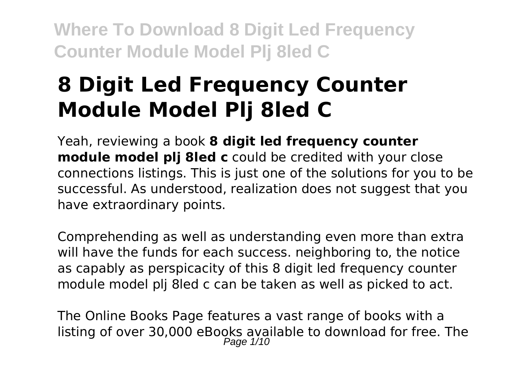# **8 Digit Led Frequency Counter Module Model Plj 8led C**

Yeah, reviewing a book **8 digit led frequency counter module model plj 8led c** could be credited with your close connections listings. This is just one of the solutions for you to be successful. As understood, realization does not suggest that you have extraordinary points.

Comprehending as well as understanding even more than extra will have the funds for each success. neighboring to, the notice as capably as perspicacity of this 8 digit led frequency counter module model plj 8led c can be taken as well as picked to act.

The Online Books Page features a vast range of books with a listing of over 30,000 eBooks available to download for free. The Page  $1/10$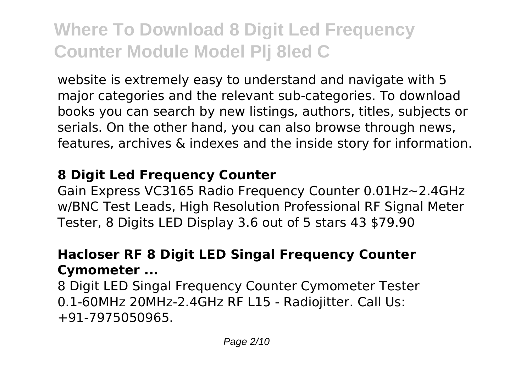website is extremely easy to understand and navigate with 5 major categories and the relevant sub-categories. To download books you can search by new listings, authors, titles, subjects or serials. On the other hand, you can also browse through news, features, archives & indexes and the inside story for information.

#### **8 Digit Led Frequency Counter**

Gain Express VC3165 Radio Frequency Counter 0.01Hz~2.4GHz w/BNC Test Leads, High Resolution Professional RF Signal Meter Tester, 8 Digits LED Display 3.6 out of 5 stars 43 \$79.90

### **Hacloser RF 8 Digit LED Singal Frequency Counter Cymometer ...**

8 Digit LED Singal Frequency Counter Cymometer Tester 0.1-60MHz 20MHz-2.4GHz RF L15 - Radiojitter. Call Us: +91-7975050965.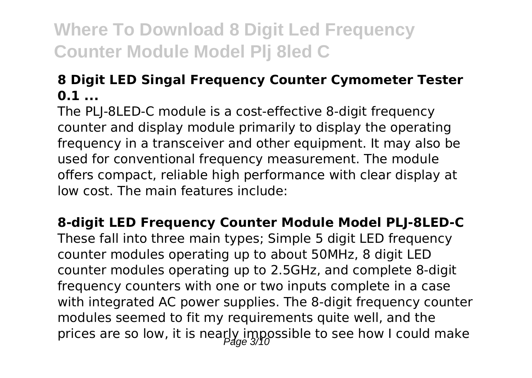### **8 Digit LED Singal Frequency Counter Cymometer Tester 0.1 ...**

The PLJ-8LED-C module is a cost-effective 8-digit frequency counter and display module primarily to display the operating frequency in a transceiver and other equipment. It may also be used for conventional frequency measurement. The module offers compact, reliable high performance with clear display at low cost. The main features include:

**8-digit LED Frequency Counter Module Model PLJ-8LED-C** These fall into three main types; Simple 5 digit LED frequency counter modules operating up to about 50MHz, 8 digit LED counter modules operating up to 2.5GHz, and complete 8-digit frequency counters with one or two inputs complete in a case with integrated AC power supplies. The 8-digit frequency counter modules seemed to fit my requirements quite well, and the prices are so low, it is nearly impossible to see how I could make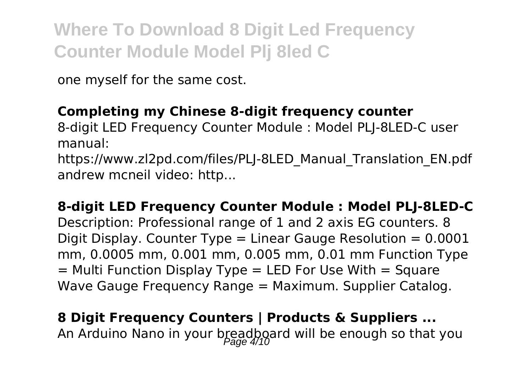one myself for the same cost.

## **Completing my Chinese 8-digit frequency counter**

8-digit LED Frequency Counter Module : Model PLJ-8LED-C user manual:

https://www.zl2pd.com/files/PLJ-8LED\_Manual\_Translation\_EN.pdf andrew mcneil video: http...

**8-digit LED Frequency Counter Module : Model PLJ-8LED-C** Description: Professional range of 1 and 2 axis EG counters. 8 Digit Display. Counter Type  $=$  Linear Gauge Resolution  $= 0.0001$ mm, 0.0005 mm, 0.001 mm, 0.005 mm, 0.01 mm Function Type  $=$  Multi Function Display Type  $=$  LED For Use With  $=$  Square Wave Gauge Frequency Range = Maximum. Supplier Catalog.

**8 Digit Frequency Counters | Products & Suppliers ...** An Arduino Nano in your breadboard will be enough so that you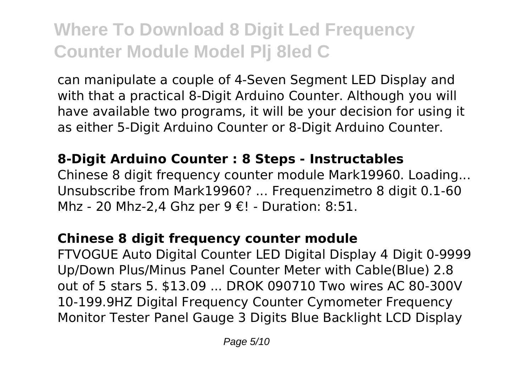can manipulate a couple of 4-Seven Segment LED Display and with that a practical 8-Digit Arduino Counter. Although you will have available two programs, it will be your decision for using it as either 5-Digit Arduino Counter or 8-Digit Arduino Counter.

### **8-Digit Arduino Counter : 8 Steps - Instructables**

Chinese 8 digit frequency counter module Mark19960. Loading... Unsubscribe from Mark19960? ... Frequenzimetro 8 digit 0.1-60 Mhz - 20 Mhz-2,4 Ghz per 9 €! - Duration: 8:51.

### **Chinese 8 digit frequency counter module**

FTVOGUE Auto Digital Counter LED Digital Display 4 Digit 0-9999 Up/Down Plus/Minus Panel Counter Meter with Cable(Blue) 2.8 out of 5 stars 5. \$13.09 ... DROK 090710 Two wires AC 80-300V 10-199.9HZ Digital Frequency Counter Cymometer Frequency Monitor Tester Panel Gauge 3 Digits Blue Backlight LCD Display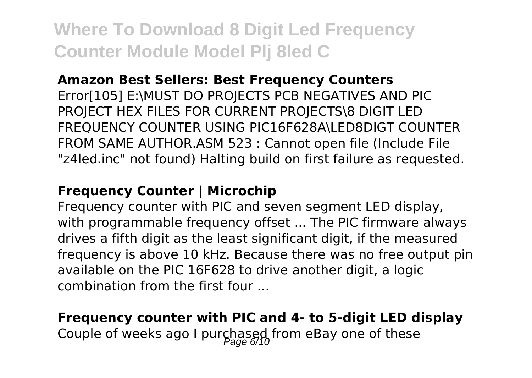#### **Amazon Best Sellers: Best Frequency Counters**

Error[105] E:\MUST DO PROJECTS PCB NEGATIVES AND PIC PROJECT HEX FILES FOR CURRENT PROJECTS\8 DIGIT LED FREQUENCY COUNTER USING PIC16F628A\LED8DIGT COUNTER FROM SAME AUTHOR.ASM 523 : Cannot open file (Include File "z4led.inc" not found) Halting build on first failure as requested.

#### **Frequency Counter | Microchip**

Frequency counter with PIC and seven segment LED display, with programmable frequency offset ... The PIC firmware always drives a fifth digit as the least significant digit, if the measured frequency is above 10 kHz. Because there was no free output pin available on the PIC 16F628 to drive another digit, a logic combination from the first four ...

## **Frequency counter with PIC and 4- to 5-digit LED display**

Couple of weeks ago I purchased from eBay one of these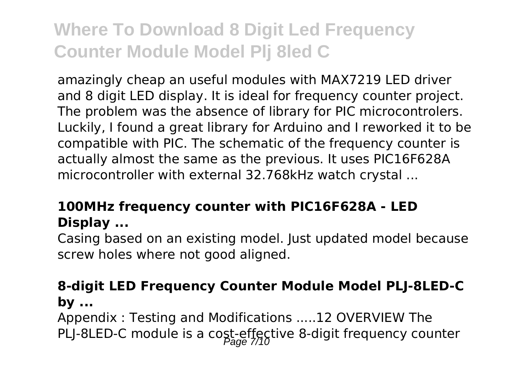amazingly cheap an useful modules with MAX7219 LED driver and 8 digit LED display. It is ideal for frequency counter project. The problem was the absence of library for PIC microcontrolers. Luckily, I found a great library for Arduino and I reworked it to be compatible with PIC. The schematic of the frequency counter is actually almost the same as the previous. It uses PIC16F628A microcontroller with external 32.768kHz watch crystal ...

### **100MHz frequency counter with PIC16F628A - LED Display ...**

Casing based on an existing model. Just updated model because screw holes where not good aligned.

### **8-digit LED Frequency Counter Module Model PLJ-8LED-C by ...**

Appendix : Testing and Modifications .....12 OVERVIEW The PLJ-8LED-C module is a cost-effective 8-digit frequency counter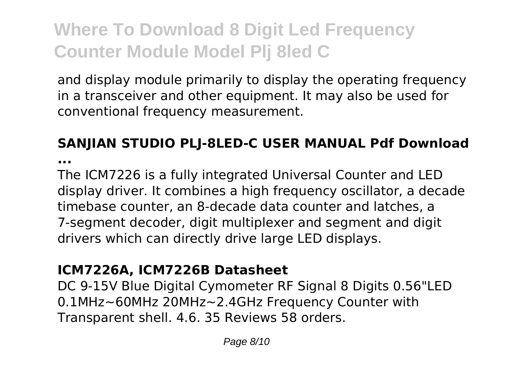and display module primarily to display the operating frequency in a transceiver and other equipment. It may also be used for conventional frequency measurement.

## **SANJIAN STUDIO PLJ-8LED-C USER MANUAL Pdf Download**

**...**

The ICM7226 is a fully integrated Universal Counter and LED display driver. It combines a high frequency oscillator, a decade timebase counter, an 8-decade data counter and latches, a 7-segment decoder, digit multiplexer and segment and digit drivers which can directly drive large LED displays.

#### **ICM7226A, ICM7226B Datasheet**

DC 9-15V Blue Digital Cymometer RF Signal 8 Digits 0.56"LED 0.1MHz~60MHz 20MHz~2.4GHz Frequency Counter with Transparent shell. 4.6. 35 Reviews 58 orders.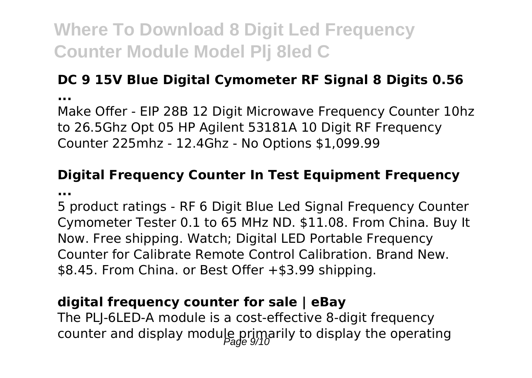### **DC 9 15V Blue Digital Cymometer RF Signal 8 Digits 0.56 ...**

Make Offer - EIP 28B 12 Digit Microwave Frequency Counter 10hz to 26.5Ghz Opt 05 HP Agilent 53181A 10 Digit RF Frequency Counter 225mhz - 12.4Ghz - No Options \$1,099.99

#### **Digital Frequency Counter In Test Equipment Frequency ...**

5 product ratings - RF 6 Digit Blue Led Signal Frequency Counter Cymometer Tester 0.1 to 65 MHz ND. \$11.08. From China. Buy It Now. Free shipping. Watch; Digital LED Portable Frequency Counter for Calibrate Remote Control Calibration. Brand New. \$8.45. From China. or Best Offer +\$3.99 shipping.

### **digital frequency counter for sale | eBay**

The PLJ-6LED-A module is a cost-effective 8-digit frequency counter and display module primarily to display the operating